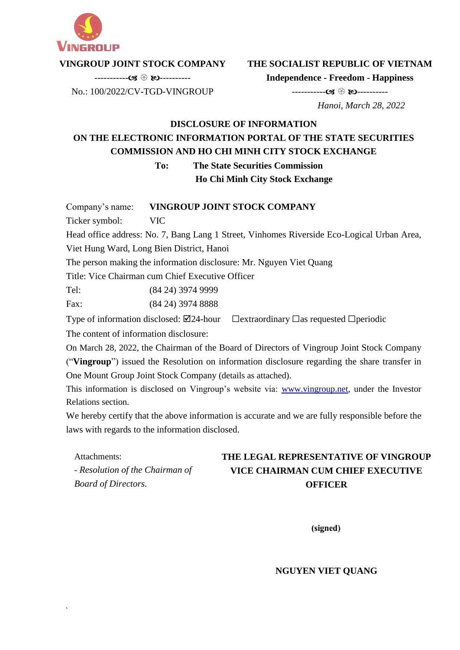

### **VINGROUP JOINT STOCK COMPANY**

**THE SOCIALIST REPUBLIC OF VIETNAM Independence - Freedom - Happiness**

----------- ----------

----------- ---------- No.: 100/2022/CV-TGD-VINGROUP

 *Hanoi, March 28, 2022*

# **DISCLOSURE OF INFORMATION ON THE ELECTRONIC INFORMATION PORTAL OF THE STATE SECURITIES COMMISSION AND HO CHI MINH CITY STOCK EXCHANGE**

**To: The State Securities Commission**

**Ho Chi Minh City Stock Exchange**

Company's name: **VINGROUP JOINT STOCK COMPANY**

Ticker symbol: VIC

s

Head office address: No. 7, Bang Lang 1 Street, Vinhomes Riverside Eco-Logical Urban Area,

Viet Hung Ward, Long Bien District, Hanoi

The person making the information disclosure: Mr. Nguyen Viet Quang

Title: Vice Chairman cum Chief Executive Officer

Tel: (84 24) 3974 9999

Fax: (84 24) 3974 8888

Type of information disclosed:  $\boxtimes$ 24-hour  $\Box$ extraordinary  $\Box$ as requested  $\Box$ periodic

The content of information disclosure:

On March 28, 2022, the Chairman of the Board of Directors of Vingroup Joint Stock Company ("**Vingroup**") issued the Resolution on information disclosure regarding the share transfer in One Mount Group Joint Stock Company (details as attached).

This information is disclosed on Vingroup's website via: www.vingroup.net*,* under the Investor Relations section.

We hereby certify that the above information is accurate and we are fully responsible before the laws with regards to the information disclosed.

Attachments: *- Resolution of the Chairman of Board of Directors.* **THE LEGAL REPRESENTATIVE OF VINGROUP VICE CHAIRMAN CUM CHIEF EXECUTIVE OFFICER**

(signed)

**NGUYEN VIET QUANG**